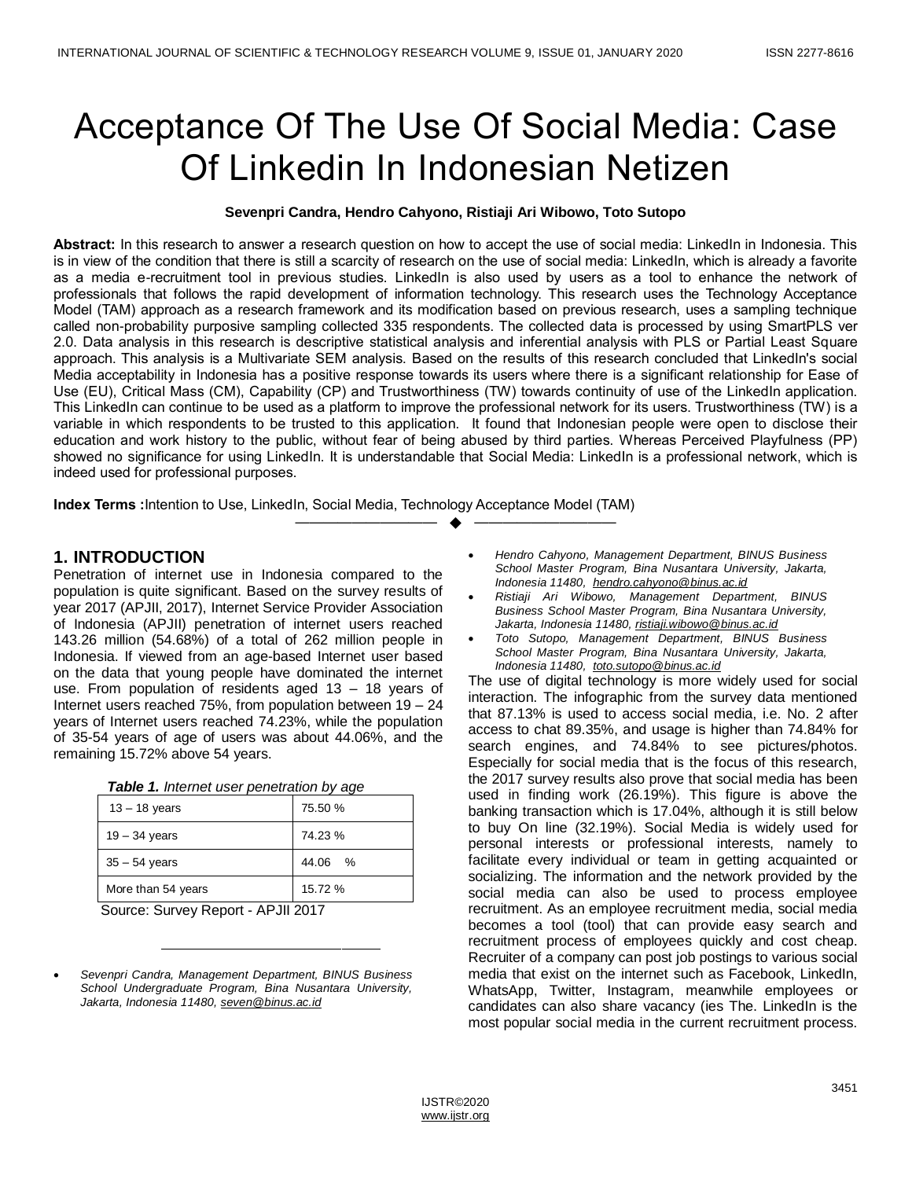# Acceptance Of The Use Of Social Media: Case Of Linkedin In Indonesian Netizen

#### **Sevenpri Candra, Hendro Cahyono, Ristiaji Ari Wibowo, Toto Sutopo**

**Abstract:** In this research to answer a research question on how to accept the use of social media: LinkedIn in Indonesia. This is in view of the condition that there is still a scarcity of research on the use of social media: LinkedIn, which is already a favorite as a media e-recruitment tool in previous studies. LinkedIn is also used by users as a tool to enhance the network of professionals that follows the rapid development of information technology. This research uses the Technology Acceptance Model (TAM) approach as a research framework and its modification based on previous research, uses a sampling technique called non-probability purposive sampling collected 335 respondents. The collected data is processed by using SmartPLS ver 2.0. Data analysis in this research is descriptive statistical analysis and inferential analysis with PLS or Partial Least Square approach. This analysis is a Multivariate SEM analysis. Based on the results of this research concluded that LinkedIn's social Media acceptability in Indonesia has a positive response towards its users where there is a significant relationship for Ease of Use (EU), Critical Mass (CM), Capability (CP) and Trustworthiness (TW) towards continuity of use of the LinkedIn application. This LinkedIn can continue to be used as a platform to improve the professional network for its users. Trustworthiness (TW) is a variable in which respondents to be trusted to this application. It found that Indonesian people were open to disclose their education and work history to the public, without fear of being abused by third parties. Whereas Perceived Playfulness (PP) showed no significance for using LinkedIn. It is understandable that Social Media: LinkedIn is a professional network, which is indeed used for professional purposes.

—————————— ——————————

**Index Terms :**Intention to Use, LinkedIn, Social Media, Technology Acceptance Model (TAM)

# **1. INTRODUCTION**

Penetration of internet use in Indonesia compared to the population is quite significant. Based on the survey results of year 2017 (APJII, 2017), Internet Service Provider Association of Indonesia (APJII) penetration of internet users reached 143.26 million (54.68%) of a total of 262 million people in Indonesia. If viewed from an age-based Internet user based on the data that young people have dominated the internet use. From population of residents aged 13 – 18 years of Internet users reached 75%, from population between 19 – 24 years of Internet users reached 74.23%, while the population of 35-54 years of age of users was about 44.06%, and the remaining 15.72% above 54 years.

|  |  |  |  | Table 1. Internet user penetration by age |  |
|--|--|--|--|-------------------------------------------|--|
|--|--|--|--|-------------------------------------------|--|

| $13 - 18$ years    | 75.50 % |
|--------------------|---------|
| $19 - 34$ years    | 74.23 % |
| $35 - 54$ years    | 44.06 % |
| More than 54 years | 15.72 % |

Source: Survey Report - APJII 2017

- *Hendro Cahyono, Management Department, BINUS Business School Master Program, Bina Nusantara University, Jakarta, Indonesia 11480, [hendro.cahyono@binus.ac.id](mailto:hendro.cahyono@binus.ac.id)*
- *Ristiaji Ari Wibowo, Management Department, BINUS Business School Master Program, Bina Nusantara University, Jakarta, Indonesia 11480[, ristiaji.wibowo@binus.ac.id](mailto:ristiaji.wibowo@binus.ac.id)*
- *Toto Sutopo, Management Department, BINUS Business School Master Program, Bina Nusantara University, Jakarta, Indonesia 11480, [toto.sutopo@binus.ac.id](mailto:toto.sutopo@binus.ac.id)*

The use of digital technology is more widely used for social interaction. The infographic from the survey data mentioned that 87.13% is used to access social media, i.e. No. 2 after access to chat 89.35%, and usage is higher than 74.84% for search engines, and 74.84% to see pictures/photos. Especially for social media that is the focus of this research, the 2017 survey results also prove that social media has been used in finding work (26.19%). This figure is above the banking transaction which is 17.04%, although it is still below to buy On line (32.19%). Social Media is widely used for personal interests or professional interests, namely to facilitate every individual or team in getting acquainted or socializing. The information and the network provided by the social media can also be used to process employee recruitment. As an employee recruitment media, social media becomes a tool (tool) that can provide easy search and recruitment process of employees quickly and cost cheap. Recruiter of a company can post job postings to various social media that exist on the internet such as Facebook, LinkedIn, WhatsApp, Twitter, Instagram, meanwhile employees or candidates can also share vacancy (ies The. LinkedIn is the most popular social media in the current recruitment process.

*Sevenpri Candra, Management Department, BINUS Business School Undergraduate Program, Bina Nusantara University, Jakarta, Indonesia 11480, [seven@binus.ac.id](mailto:seven@binus.ac.id)*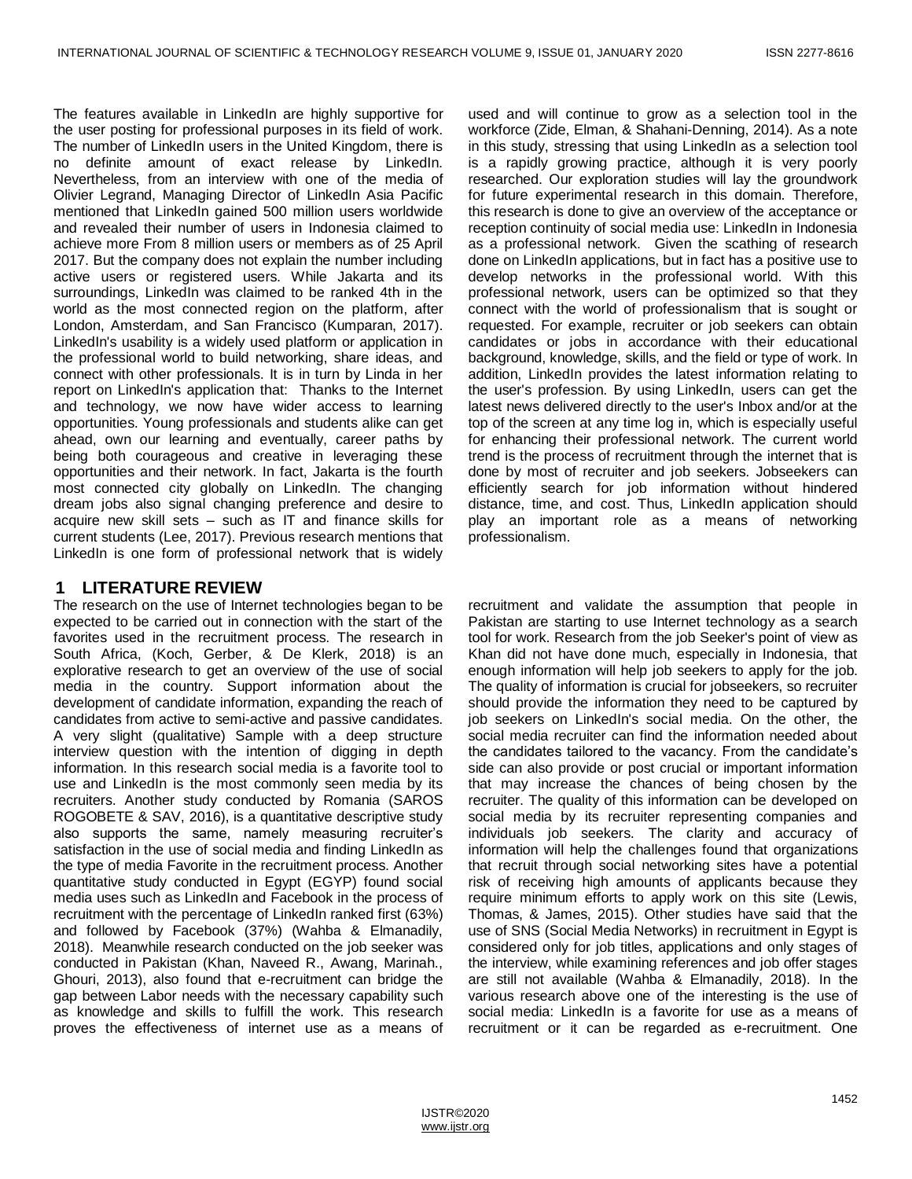The features available in LinkedIn are highly supportive for the user posting for professional purposes in its field of work. The number of LinkedIn users in the United Kingdom, there is no definite amount of exact release by LinkedIn. Nevertheless, from an interview with one of the media of Olivier Legrand, Managing Director of LinkedIn Asia Pacific mentioned that LinkedIn gained 500 million users worldwide and revealed their number of users in Indonesia claimed to achieve more From 8 million users or members as of 25 April 2017. But the company does not explain the number including active users or registered users. While Jakarta and its surroundings, LinkedIn was claimed to be ranked 4th in the world as the most connected region on the platform, after London, Amsterdam, and San Francisco (Kumparan, 2017). LinkedIn's usability is a widely used platform or application in the professional world to build networking, share ideas, and connect with other professionals. It is in turn by Linda in her report on LinkedIn's application that: Thanks to the Internet and technology, we now have wider access to learning opportunities. Young professionals and students alike can get ahead, own our learning and eventually, career paths by being both courageous and creative in leveraging these opportunities and their network. In fact, Jakarta is the fourth most connected city globally on LinkedIn. The changing dream jobs also signal changing preference and desire to acquire new skill sets – such as IT and finance skills for current students (Lee, 2017). Previous research mentions that LinkedIn is one form of professional network that is widely

### **1 LITERATURE REVIEW**

The research on the use of Internet technologies began to be expected to be carried out in connection with the start of the favorites used in the recruitment process. The research in South Africa, (Koch, Gerber, & De Klerk, 2018) is an explorative research to get an overview of the use of social media in the country. Support information about the development of candidate information, expanding the reach of candidates from active to semi-active and passive candidates. A very slight (qualitative) Sample with a deep structure interview question with the intention of digging in depth information. In this research social media is a favorite tool to use and LinkedIn is the most commonly seen media by its recruiters. Another study conducted by Romania (SAROS ROGOBETE & SAV, 2016), is a quantitative descriptive study also supports the same, namely measuring recruiter's satisfaction in the use of social media and finding LinkedIn as the type of media Favorite in the recruitment process. Another quantitative study conducted in Egypt (EGYP) found social media uses such as LinkedIn and Facebook in the process of recruitment with the percentage of LinkedIn ranked first (63%) and followed by Facebook (37%) (Wahba & Elmanadily, 2018). Meanwhile research conducted on the job seeker was conducted in Pakistan (Khan, Naveed R., Awang, Marinah., Ghouri, 2013), also found that e-recruitment can bridge the gap between Labor needs with the necessary capability such as knowledge and skills to fulfill the work. This research proves the effectiveness of internet use as a means of used and will continue to grow as a selection tool in the workforce (Zide, Elman, & Shahani-Denning, 2014). As a note in this study, stressing that using LinkedIn as a selection tool is a rapidly growing practice, although it is very poorly researched. Our exploration studies will lay the groundwork for future experimental research in this domain. Therefore, this research is done to give an overview of the acceptance or reception continuity of social media use: LinkedIn in Indonesia as a professional network. Given the scathing of research done on LinkedIn applications, but in fact has a positive use to develop networks in the professional world. With this professional network, users can be optimized so that they connect with the world of professionalism that is sought or requested. For example, recruiter or job seekers can obtain candidates or jobs in accordance with their educational background, knowledge, skills, and the field or type of work. In addition, LinkedIn provides the latest information relating to the user's profession. By using LinkedIn, users can get the latest news delivered directly to the user's Inbox and/or at the top of the screen at any time log in, which is especially useful for enhancing their professional network. The current world trend is the process of recruitment through the internet that is done by most of recruiter and job seekers. Jobseekers can efficiently search for job information without hindered distance, time, and cost. Thus, LinkedIn application should play an important role as a means of networking professionalism.

recruitment and validate the assumption that people in Pakistan are starting to use Internet technology as a search tool for work. Research from the job Seeker's point of view as Khan did not have done much, especially in Indonesia, that enough information will help job seekers to apply for the job. The quality of information is crucial for jobseekers, so recruiter should provide the information they need to be captured by job seekers on LinkedIn's social media. On the other, the social media recruiter can find the information needed about the candidates tailored to the vacancy. From the candidate's side can also provide or post crucial or important information that may increase the chances of being chosen by the recruiter. The quality of this information can be developed on social media by its recruiter representing companies and individuals job seekers. The clarity and accuracy of information will help the challenges found that organizations that recruit through social networking sites have a potential risk of receiving high amounts of applicants because they require minimum efforts to apply work on this site (Lewis, Thomas, & James, 2015). Other studies have said that the use of SNS (Social Media Networks) in recruitment in Egypt is considered only for job titles, applications and only stages of the interview, while examining references and job offer stages are still not available (Wahba & Elmanadily, 2018). In the various research above one of the interesting is the use of social media: LinkedIn is a favorite for use as a means of recruitment or it can be regarded as e-recruitment. One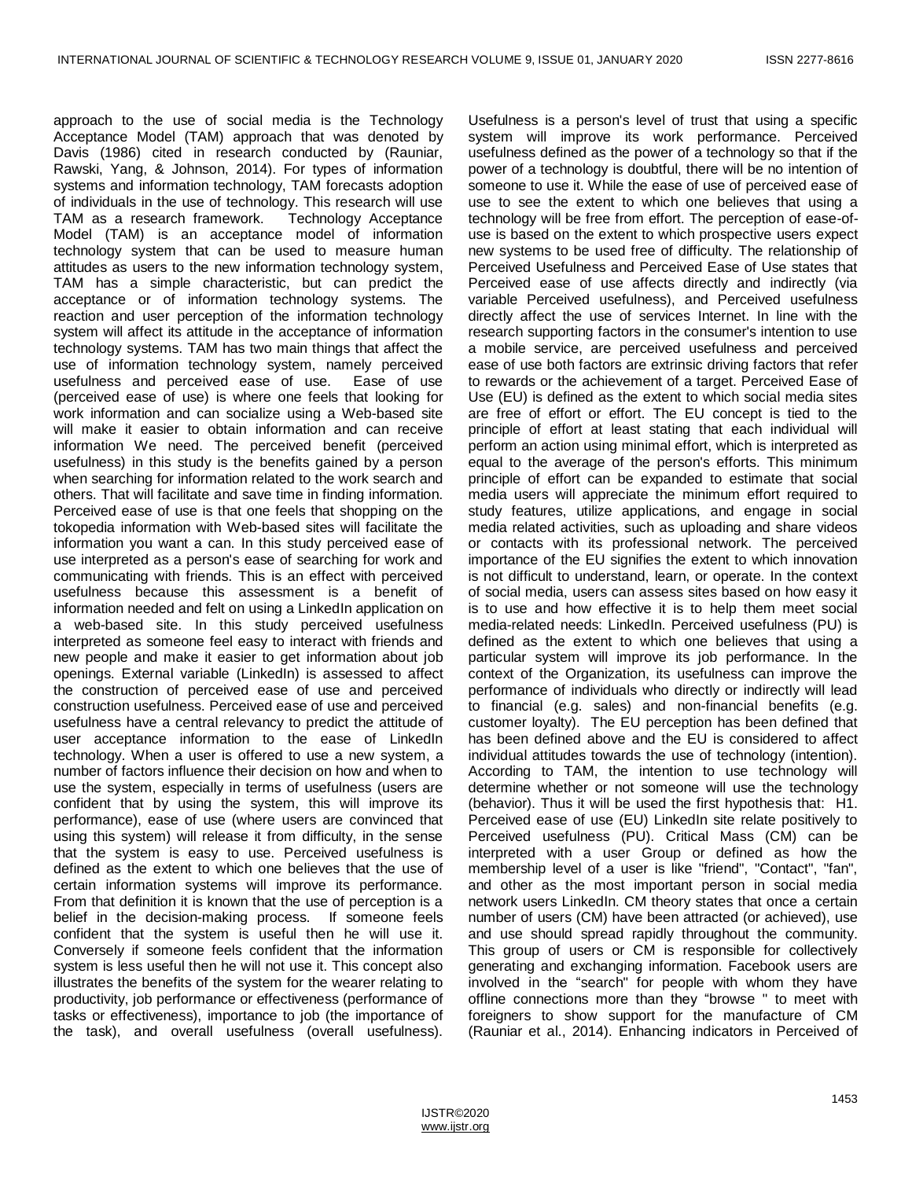approach to the use of social media is the Technology Acceptance Model (TAM) approach that was denoted by Davis (1986) cited in research conducted by (Rauniar, Rawski, Yang, & Johnson, 2014). For types of information systems and information technology, TAM forecasts adoption of individuals in the use of technology. This research will use TAM as a research framework. Technology Acceptance Model (TAM) is an acceptance model of information technology system that can be used to measure human attitudes as users to the new information technology system, TAM has a simple characteristic, but can predict the acceptance or of information technology systems. The reaction and user perception of the information technology system will affect its attitude in the acceptance of information technology systems. TAM has two main things that affect the use of information technology system, namely perceived usefulness and perceived ease of use. Ease of use (perceived ease of use) is where one feels that looking for work information and can socialize using a Web-based site will make it easier to obtain information and can receive information We need. The perceived benefit (perceived usefulness) in this study is the benefits gained by a person when searching for information related to the work search and others. That will facilitate and save time in finding information. Perceived ease of use is that one feels that shopping on the tokopedia information with Web-based sites will facilitate the information you want a can. In this study perceived ease of use interpreted as a person's ease of searching for work and communicating with friends. This is an effect with perceived usefulness because this assessment is a benefit of information needed and felt on using a LinkedIn application on a web-based site. In this study perceived usefulness interpreted as someone feel easy to interact with friends and new people and make it easier to get information about job openings. External variable (LinkedIn) is assessed to affect the construction of perceived ease of use and perceived construction usefulness. Perceived ease of use and perceived usefulness have a central relevancy to predict the attitude of user acceptance information to the ease of LinkedIn technology. When a user is offered to use a new system, a number of factors influence their decision on how and when to use the system, especially in terms of usefulness (users are confident that by using the system, this will improve its performance), ease of use (where users are convinced that using this system) will release it from difficulty, in the sense that the system is easy to use. Perceived usefulness is defined as the extent to which one believes that the use of certain information systems will improve its performance. From that definition it is known that the use of perception is a belief in the decision-making process. If someone feels confident that the system is useful then he will use it. Conversely if someone feels confident that the information system is less useful then he will not use it. This concept also illustrates the benefits of the system for the wearer relating to productivity, job performance or effectiveness (performance of tasks or effectiveness), importance to job (the importance of the task), and overall usefulness (overall usefulness).

Usefulness is a person's level of trust that using a specific system will improve its work performance. Perceived usefulness defined as the power of a technology so that if the power of a technology is doubtful, there will be no intention of someone to use it. While the ease of use of perceived ease of use to see the extent to which one believes that using a technology will be free from effort. The perception of ease-ofuse is based on the extent to which prospective users expect new systems to be used free of difficulty. The relationship of Perceived Usefulness and Perceived Ease of Use states that Perceived ease of use affects directly and indirectly (via variable Perceived usefulness), and Perceived usefulness directly affect the use of services Internet. In line with the research supporting factors in the consumer's intention to use a mobile service, are perceived usefulness and perceived ease of use both factors are extrinsic driving factors that refer to rewards or the achievement of a target. Perceived Ease of Use (EU) is defined as the extent to which social media sites are free of effort or effort. The EU concept is tied to the principle of effort at least stating that each individual will perform an action using minimal effort, which is interpreted as equal to the average of the person's efforts. This minimum principle of effort can be expanded to estimate that social media users will appreciate the minimum effort required to study features, utilize applications, and engage in social media related activities, such as uploading and share videos or contacts with its professional network. The perceived importance of the EU signifies the extent to which innovation is not difficult to understand, learn, or operate. In the context of social media, users can assess sites based on how easy it is to use and how effective it is to help them meet social media-related needs: LinkedIn. Perceived usefulness (PU) is defined as the extent to which one believes that using a particular system will improve its job performance. In the context of the Organization, its usefulness can improve the performance of individuals who directly or indirectly will lead to financial (e.g. sales) and non-financial benefits (e.g. customer loyalty). The EU perception has been defined that has been defined above and the EU is considered to affect individual attitudes towards the use of technology (intention). According to TAM, the intention to use technology will determine whether or not someone will use the technology (behavior). Thus it will be used the first hypothesis that: H1. Perceived ease of use (EU) LinkedIn site relate positively to Perceived usefulness (PU). Critical Mass (CM) can be interpreted with a user Group or defined as how the membership level of a user is like "friend", "Contact", "fan", and other as the most important person in social media network users LinkedIn. CM theory states that once a certain number of users (CM) have been attracted (or achieved), use and use should spread rapidly throughout the community. This group of users or CM is responsible for collectively generating and exchanging information. Facebook users are involved in the "search" for people with whom they have offline connections more than they "browse " to meet with foreigners to show support for the manufacture of CM (Rauniar et al., 2014). Enhancing indicators in Perceived of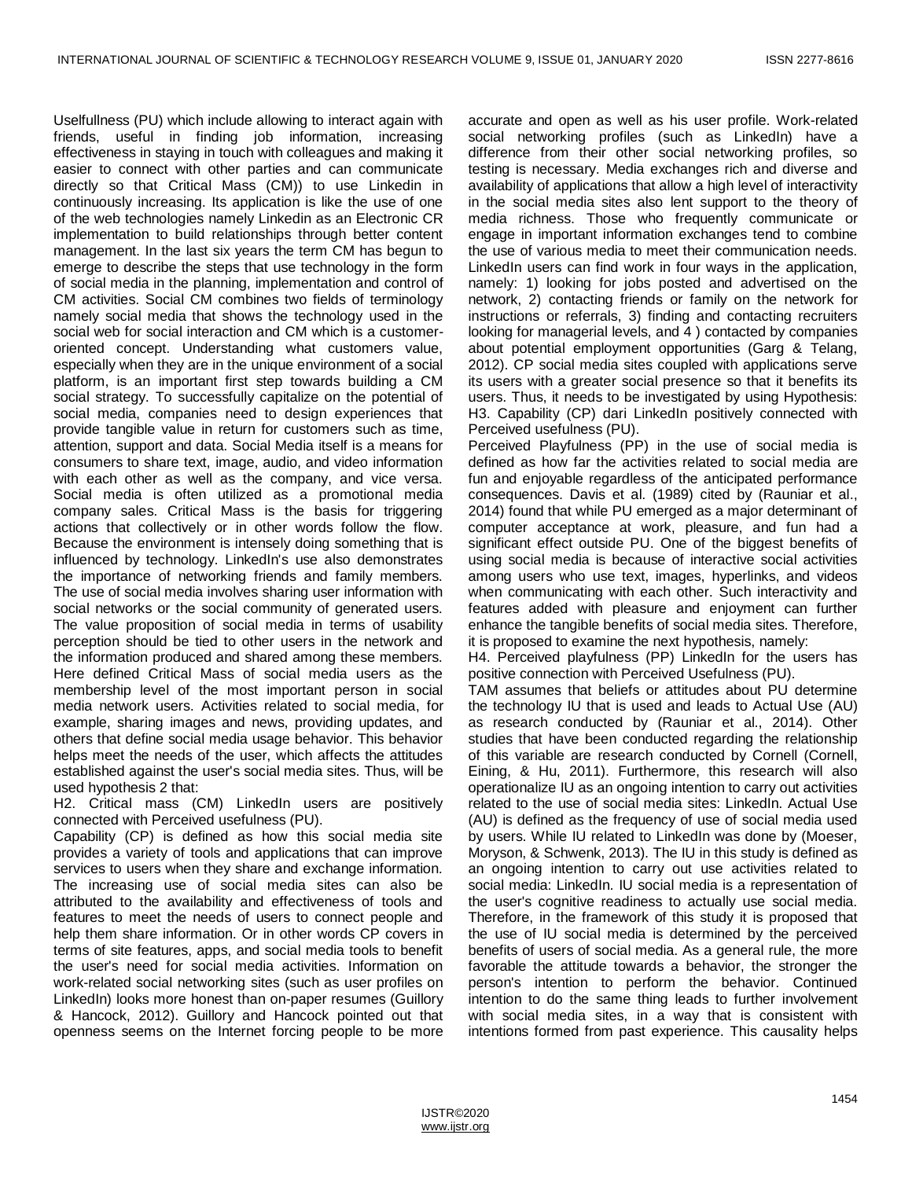Uselfullness (PU) which include allowing to interact again with friends, useful in finding job information, increasing effectiveness in staying in touch with colleagues and making it easier to connect with other parties and can communicate directly so that Critical Mass (CM)) to use Linkedin in continuously increasing. Its application is like the use of one of the web technologies namely Linkedin as an Electronic CR implementation to build relationships through better content management. In the last six years the term CM has begun to emerge to describe the steps that use technology in the form of social media in the planning, implementation and control of CM activities. Social CM combines two fields of terminology namely social media that shows the technology used in the social web for social interaction and CM which is a customeroriented concept. Understanding what customers value, especially when they are in the unique environment of a social platform, is an important first step towards building a CM social strategy. To successfully capitalize on the potential of social media, companies need to design experiences that provide tangible value in return for customers such as time, attention, support and data. Social Media itself is a means for consumers to share text, image, audio, and video information with each other as well as the company, and vice versa. Social media is often utilized as a promotional media company sales. Critical Mass is the basis for triggering actions that collectively or in other words follow the flow. Because the environment is intensely doing something that is influenced by technology. LinkedIn's use also demonstrates the importance of networking friends and family members. The use of social media involves sharing user information with social networks or the social community of generated users. The value proposition of social media in terms of usability perception should be tied to other users in the network and the information produced and shared among these members. Here defined Critical Mass of social media users as the membership level of the most important person in social media network users. Activities related to social media, for example, sharing images and news, providing updates, and others that define social media usage behavior. This behavior helps meet the needs of the user, which affects the attitudes established against the user's social media sites. Thus, will be used hypothesis 2 that:

H2. Critical mass (CM) LinkedIn users are positively connected with Perceived usefulness (PU).

Capability (CP) is defined as how this social media site provides a variety of tools and applications that can improve services to users when they share and exchange information. The increasing use of social media sites can also be attributed to the availability and effectiveness of tools and features to meet the needs of users to connect people and help them share information. Or in other words CP covers in terms of site features, apps, and social media tools to benefit the user's need for social media activities. Information on work-related social networking sites (such as user profiles on LinkedIn) looks more honest than on-paper resumes (Guillory & Hancock, 2012). Guillory and Hancock pointed out that openness seems on the Internet forcing people to be more accurate and open as well as his user profile. Work-related social networking profiles (such as LinkedIn) have a difference from their other social networking profiles, so testing is necessary. Media exchanges rich and diverse and availability of applications that allow a high level of interactivity in the social media sites also lent support to the theory of media richness. Those who frequently communicate or engage in important information exchanges tend to combine the use of various media to meet their communication needs. LinkedIn users can find work in four ways in the application, namely: 1) looking for jobs posted and advertised on the network, 2) contacting friends or family on the network for instructions or referrals, 3) finding and contacting recruiters looking for managerial levels, and 4 ) contacted by companies about potential employment opportunities (Garg & Telang, 2012). CP social media sites coupled with applications serve its users with a greater social presence so that it benefits its users. Thus, it needs to be investigated by using Hypothesis: H3. Capability (CP) dari LinkedIn positively connected with Perceived usefulness (PU).

Perceived Playfulness (PP) in the use of social media is defined as how far the activities related to social media are fun and enjoyable regardless of the anticipated performance consequences. Davis et al. (1989) cited by (Rauniar et al., 2014) found that while PU emerged as a major determinant of computer acceptance at work, pleasure, and fun had a significant effect outside PU. One of the biggest benefits of using social media is because of interactive social activities among users who use text, images, hyperlinks, and videos when communicating with each other. Such interactivity and features added with pleasure and enjoyment can further enhance the tangible benefits of social media sites. Therefore, it is proposed to examine the next hypothesis, namely:

H4. Perceived playfulness (PP) LinkedIn for the users has positive connection with Perceived Usefulness (PU).

TAM assumes that beliefs or attitudes about PU determine the technology IU that is used and leads to Actual Use (AU) as research conducted by (Rauniar et al., 2014). Other studies that have been conducted regarding the relationship of this variable are research conducted by Cornell (Cornell, Eining, & Hu, 2011). Furthermore, this research will also operationalize IU as an ongoing intention to carry out activities related to the use of social media sites: LinkedIn. Actual Use (AU) is defined as the frequency of use of social media used by users. While IU related to LinkedIn was done by (Moeser, Moryson, & Schwenk, 2013). The IU in this study is defined as an ongoing intention to carry out use activities related to social media: LinkedIn. IU social media is a representation of the user's cognitive readiness to actually use social media. Therefore, in the framework of this study it is proposed that the use of IU social media is determined by the perceived benefits of users of social media. As a general rule, the more favorable the attitude towards a behavior, the stronger the person's intention to perform the behavior. Continued intention to do the same thing leads to further involvement with social media sites, in a way that is consistent with intentions formed from past experience. This causality helps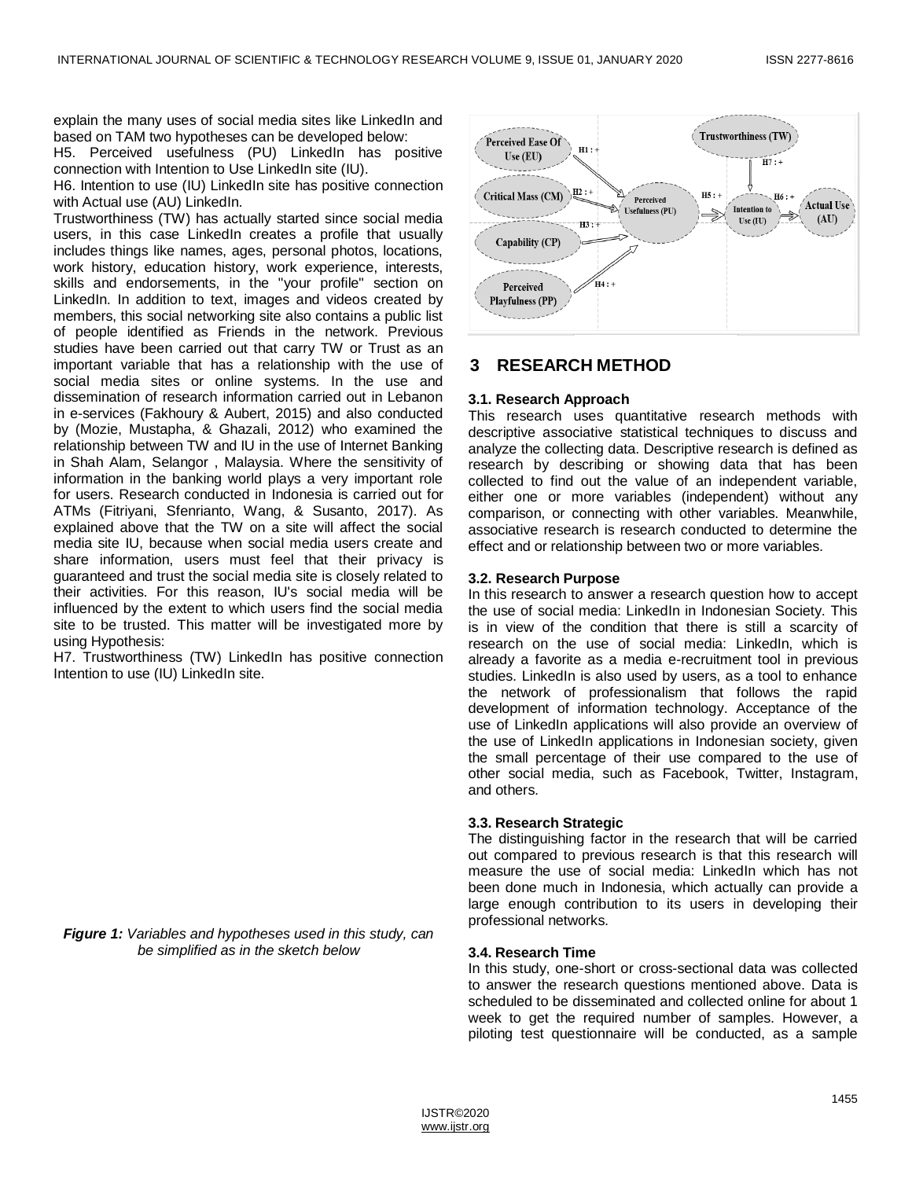explain the many uses of social media sites like LinkedIn and based on TAM two hypotheses can be developed below:

H5. Perceived usefulness (PU) LinkedIn has positive connection with Intention to Use LinkedIn site (IU).

H6. Intention to use (IU) LinkedIn site has positive connection with Actual use (AU) LinkedIn.

Trustworthiness (TW) has actually started since social media users, in this case LinkedIn creates a profile that usually includes things like names, ages, personal photos, locations, work history, education history, work experience, interests, skills and endorsements, in the "your profile" section on LinkedIn. In addition to text, images and videos created by members, this social networking site also contains a public list of people identified as Friends in the network. Previous studies have been carried out that carry TW or Trust as an important variable that has a relationship with the use of social media sites or online systems. In the use and dissemination of research information carried out in Lebanon in e-services (Fakhoury & Aubert, 2015) and also conducted by (Mozie, Mustapha, & Ghazali, 2012) who examined the relationship between TW and IU in the use of Internet Banking in Shah Alam, Selangor , Malaysia. Where the sensitivity of information in the banking world plays a very important role for users. Research conducted in Indonesia is carried out for ATMs (Fitriyani, Sfenrianto, Wang, & Susanto, 2017). As explained above that the TW on a site will affect the social media site IU, because when social media users create and share information, users must feel that their privacy is guaranteed and trust the social media site is closely related to their activities. For this reason, IU's social media will be influenced by the extent to which users find the social media site to be trusted. This matter will be investigated more by using Hypothesis:

H7. Trustworthiness (TW) LinkedIn has positive connection Intention to use (IU) LinkedIn site.

*Figure 1: Variables and hypotheses used in this study, can be simplified as in the sketch below*



## **3 RESEARCH METHOD**

#### **3.1. Research Approach**

This research uses quantitative research methods with descriptive associative statistical techniques to discuss and analyze the collecting data. Descriptive research is defined as research by describing or showing data that has been collected to find out the value of an independent variable, either one or more variables (independent) without any comparison, or connecting with other variables. Meanwhile, associative research is research conducted to determine the effect and or relationship between two or more variables.

#### **3.2. Research Purpose**

In this research to answer a research question how to accept the use of social media: LinkedIn in Indonesian Society. This is in view of the condition that there is still a scarcity of research on the use of social media: LinkedIn, which is already a favorite as a media e-recruitment tool in previous studies. LinkedIn is also used by users, as a tool to enhance the network of professionalism that follows the rapid development of information technology. Acceptance of the use of LinkedIn applications will also provide an overview of the use of LinkedIn applications in Indonesian society, given the small percentage of their use compared to the use of other social media, such as Facebook, Twitter, Instagram, and others.

#### **3.3. Research Strategic**

The distinguishing factor in the research that will be carried out compared to previous research is that this research will measure the use of social media: LinkedIn which has not been done much in Indonesia, which actually can provide a large enough contribution to its users in developing their professional networks.

#### **3.4. Research Time**

In this study, one-short or cross-sectional data was collected to answer the research questions mentioned above. Data is scheduled to be disseminated and collected online for about 1 week to get the required number of samples. However, a piloting test questionnaire will be conducted, as a sample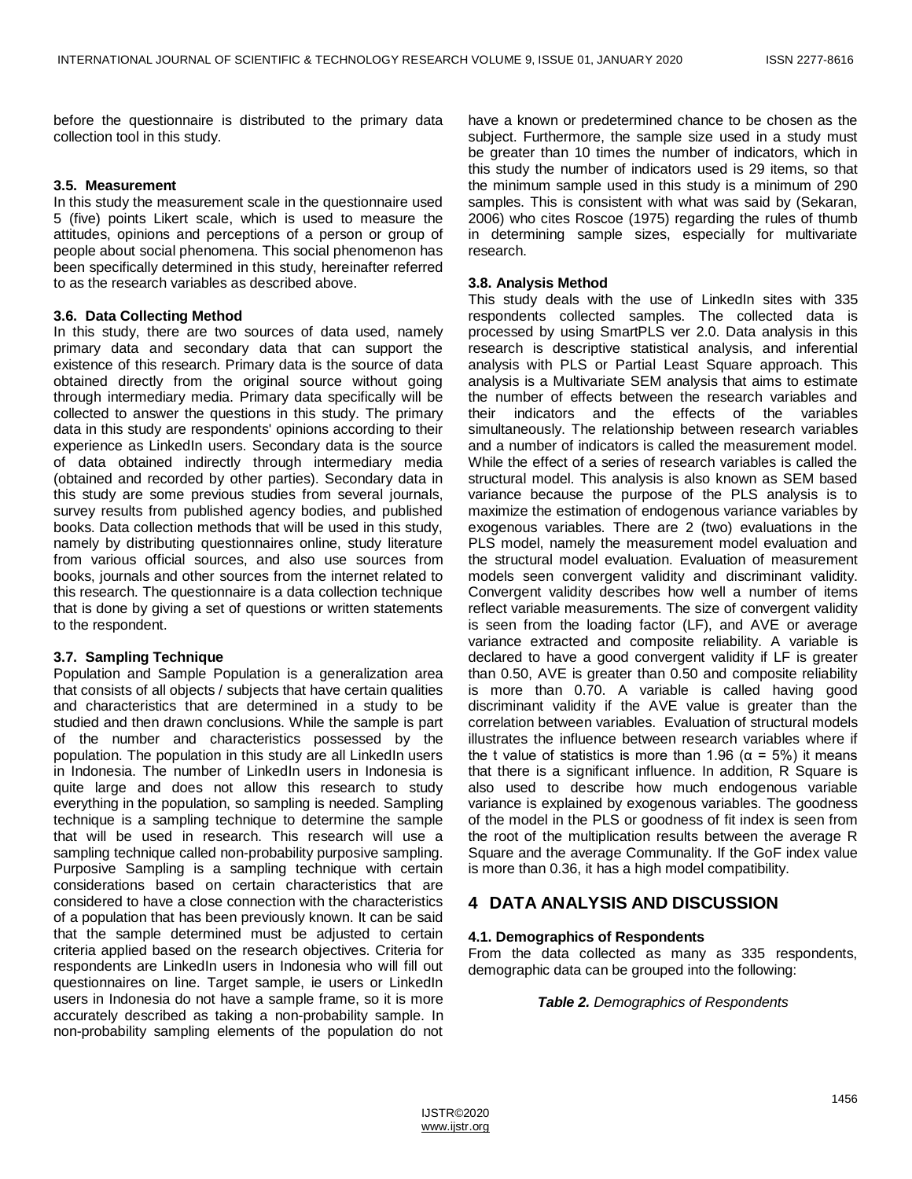before the questionnaire is distributed to the primary data collection tool in this study.

#### **3.5. Measurement**

In this study the measurement scale in the questionnaire used 5 (five) points Likert scale, which is used to measure the attitudes, opinions and perceptions of a person or group of people about social phenomena. This social phenomenon has been specifically determined in this study, hereinafter referred to as the research variables as described above.

#### **3.6. Data Collecting Method**

In this study, there are two sources of data used, namely primary data and secondary data that can support the existence of this research. Primary data is the source of data obtained directly from the original source without going through intermediary media. Primary data specifically will be collected to answer the questions in this study. The primary data in this study are respondents' opinions according to their experience as LinkedIn users. Secondary data is the source of data obtained indirectly through intermediary media (obtained and recorded by other parties). Secondary data in this study are some previous studies from several journals, survey results from published agency bodies, and published books. Data collection methods that will be used in this study, namely by distributing questionnaires online, study literature from various official sources, and also use sources from books, journals and other sources from the internet related to this research. The questionnaire is a data collection technique that is done by giving a set of questions or written statements to the respondent.

#### **3.7. Sampling Technique**

Population and Sample Population is a generalization area that consists of all objects / subjects that have certain qualities and characteristics that are determined in a study to be studied and then drawn conclusions. While the sample is part of the number and characteristics possessed by the population. The population in this study are all LinkedIn users in Indonesia. The number of LinkedIn users in Indonesia is quite large and does not allow this research to study everything in the population, so sampling is needed. Sampling technique is a sampling technique to determine the sample that will be used in research. This research will use a sampling technique called non-probability purposive sampling. Purposive Sampling is a sampling technique with certain considerations based on certain characteristics that are considered to have a close connection with the characteristics of a population that has been previously known. It can be said that the sample determined must be adjusted to certain criteria applied based on the research objectives. Criteria for respondents are LinkedIn users in Indonesia who will fill out questionnaires on line. Target sample, ie users or LinkedIn users in Indonesia do not have a sample frame, so it is more accurately described as taking a non-probability sample. In non-probability sampling elements of the population do not have a known or predetermined chance to be chosen as the subject. Furthermore, the sample size used in a study must be greater than 10 times the number of indicators, which in this study the number of indicators used is 29 items, so that the minimum sample used in this study is a minimum of 290 samples. This is consistent with what was said by (Sekaran, 2006) who cites Roscoe (1975) regarding the rules of thumb in determining sample sizes, especially for multivariate research.

#### **3.8. Analysis Method**

This study deals with the use of LinkedIn sites with 335 respondents collected samples. The collected data is processed by using SmartPLS ver 2.0. Data analysis in this research is descriptive statistical analysis, and inferential analysis with PLS or Partial Least Square approach. This analysis is a Multivariate SEM analysis that aims to estimate the number of effects between the research variables and their indicators and the effects of the variables simultaneously. The relationship between research variables and a number of indicators is called the measurement model. While the effect of a series of research variables is called the structural model. This analysis is also known as SEM based variance because the purpose of the PLS analysis is to maximize the estimation of endogenous variance variables by exogenous variables. There are 2 (two) evaluations in the PLS model, namely the measurement model evaluation and the structural model evaluation. Evaluation of measurement models seen convergent validity and discriminant validity. Convergent validity describes how well a number of items reflect variable measurements. The size of convergent validity is seen from the loading factor (LF), and AVE or average variance extracted and composite reliability. A variable is declared to have a good convergent validity if LF is greater than 0.50, AVE is greater than 0.50 and composite reliability is more than 0.70. A variable is called having good discriminant validity if the AVE value is greater than the correlation between variables. Evaluation of structural models illustrates the influence between research variables where if the t value of statistics is more than 1.96 ( $α = 5\%$ ) it means that there is a significant influence. In addition, R Square is also used to describe how much endogenous variable variance is explained by exogenous variables. The goodness of the model in the PLS or goodness of fit index is seen from the root of the multiplication results between the average R Square and the average Communality. If the GoF index value is more than 0.36, it has a high model compatibility.

# **4 DATA ANALYSIS AND DISCUSSION**

#### **4.1. Demographics of Respondents**

From the data collected as many as 335 respondents, demographic data can be grouped into the following:

*Table 2. Demographics of Respondents*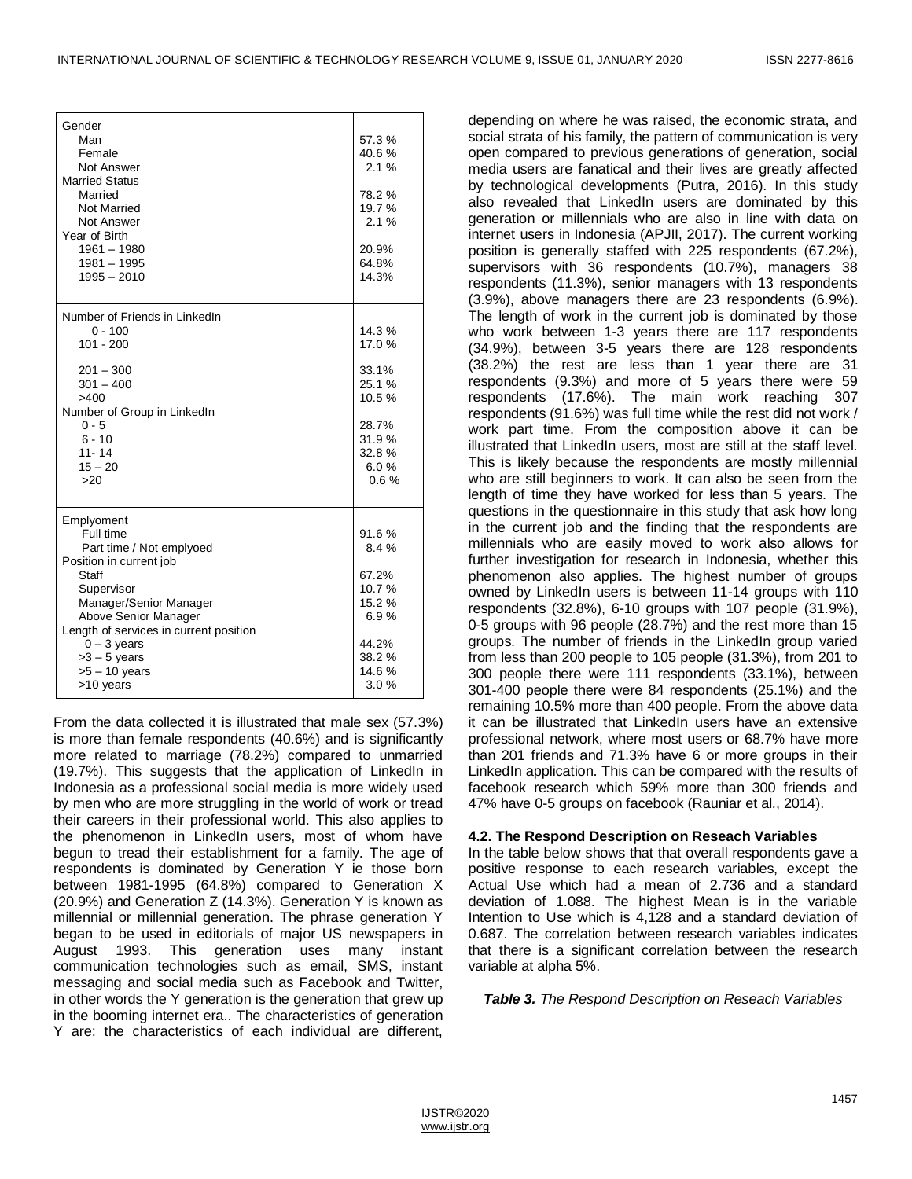| Gender<br>Man<br>Female<br><b>Not Answer</b><br><b>Married Status</b><br>Married<br><b>Not Married</b><br>Not Answer<br>Year of Birth<br>$1961 - 1980$<br>$1981 - 1995$<br>$1995 - 2010$                                                                             | 57.3%<br>40.6%<br>2.1%<br>78.2%<br>19.7%<br>2.1%<br>20.9%<br>64.8%<br>14.3%          |
|----------------------------------------------------------------------------------------------------------------------------------------------------------------------------------------------------------------------------------------------------------------------|--------------------------------------------------------------------------------------|
| Number of Friends in LinkedIn<br>$0 - 100$<br>$101 - 200$                                                                                                                                                                                                            | 14.3%<br>17.0%                                                                       |
| $201 - 300$<br>$301 - 400$<br>>400<br>Number of Group in LinkedIn<br>$0 - 5$<br>$6 - 10$<br>$11 - 14$<br>$15 - 20$<br>>20                                                                                                                                            | 33.1%<br>25.1 %<br>10.5%<br>28.7%<br>31.9%<br>32.8%<br>6.0%<br>0.6%                  |
| Emplyoment<br>Full time<br>Part time / Not emplyoed<br>Position in current job<br>Staff<br>Supervisor<br>Manager/Senior Manager<br>Above Senior Manager<br>Length of services in current position<br>$0 - 3$ years<br>$>3 - 5$ years<br>$>5 - 10$ years<br>>10 years | 91.6%<br>8.4%<br>67.2%<br>10.7%<br>15.2 %<br>6.9%<br>44.2%<br>38.2%<br>14.6%<br>3.0% |

From the data collected it is illustrated that male sex (57.3%) is more than female respondents (40.6%) and is significantly more related to marriage (78.2%) compared to unmarried (19.7%). This suggests that the application of LinkedIn in Indonesia as a professional social media is more widely used by men who are more struggling in the world of work or tread their careers in their professional world. This also applies to the phenomenon in LinkedIn users, most of whom have begun to tread their establishment for a family. The age of respondents is dominated by Generation Y ie those born between 1981-1995 (64.8%) compared to Generation X (20.9%) and Generation Z (14.3%). Generation Y is known as millennial or millennial generation. The phrase generation Y began to be used in editorials of major US newspapers in August 1993. This generation uses many instant communication technologies such as email, SMS, instant messaging and social media such as Facebook and Twitter, in other words the Y generation is the generation that grew up in the booming internet era.. The characteristics of generation Y are: the characteristics of each individual are different,

depending on where he was raised, the economic strata, and social strata of his family, the pattern of communication is very open compared to previous generations of generation, social media users are fanatical and their lives are greatly affected by technological developments (Putra, 2016). In this study also revealed that LinkedIn users are dominated by this generation or millennials who are also in line with data on internet users in Indonesia (APJII, 2017). The current working position is generally staffed with 225 respondents (67.2%), supervisors with 36 respondents (10.7%), managers 38 respondents (11.3%), senior managers with 13 respondents (3.9%), above managers there are 23 respondents (6.9%). The length of work in the current job is dominated by those who work between 1-3 years there are 117 respondents (34.9%), between 3-5 years there are 128 respondents (38.2%) the rest are less than 1 year there are 31 respondents (9.3%) and more of 5 years there were 59 respondents (17.6%). The main work reaching 307 respondents (91.6%) was full time while the rest did not work / work part time. From the composition above it can be illustrated that LinkedIn users, most are still at the staff level. This is likely because the respondents are mostly millennial who are still beginners to work. It can also be seen from the length of time they have worked for less than 5 years. The questions in the questionnaire in this study that ask how long in the current job and the finding that the respondents are millennials who are easily moved to work also allows for further investigation for research in Indonesia, whether this phenomenon also applies. The highest number of groups owned by LinkedIn users is between 11-14 groups with 110 respondents (32.8%), 6-10 groups with 107 people (31.9%), 0-5 groups with 96 people (28.7%) and the rest more than 15 groups. The number of friends in the LinkedIn group varied from less than 200 people to 105 people (31.3%), from 201 to 300 people there were 111 respondents (33.1%), between 301-400 people there were 84 respondents (25.1%) and the remaining 10.5% more than 400 people. From the above data it can be illustrated that LinkedIn users have an extensive professional network, where most users or 68.7% have more than 201 friends and 71.3% have 6 or more groups in their LinkedIn application. This can be compared with the results of facebook research which 59% more than 300 friends and 47% have 0-5 groups on facebook (Rauniar et al., 2014).

#### **4.2. The Respond Description on Reseach Variables**

In the table below shows that that overall respondents gave a positive response to each research variables, except the Actual Use which had a mean of 2.736 and a standard deviation of 1.088. The highest Mean is in the variable Intention to Use which is 4,128 and a standard deviation of 0.687. The correlation between research variables indicates that there is a significant correlation between the research variable at alpha 5%.

*Table 3. The Respond Description on Reseach Variables*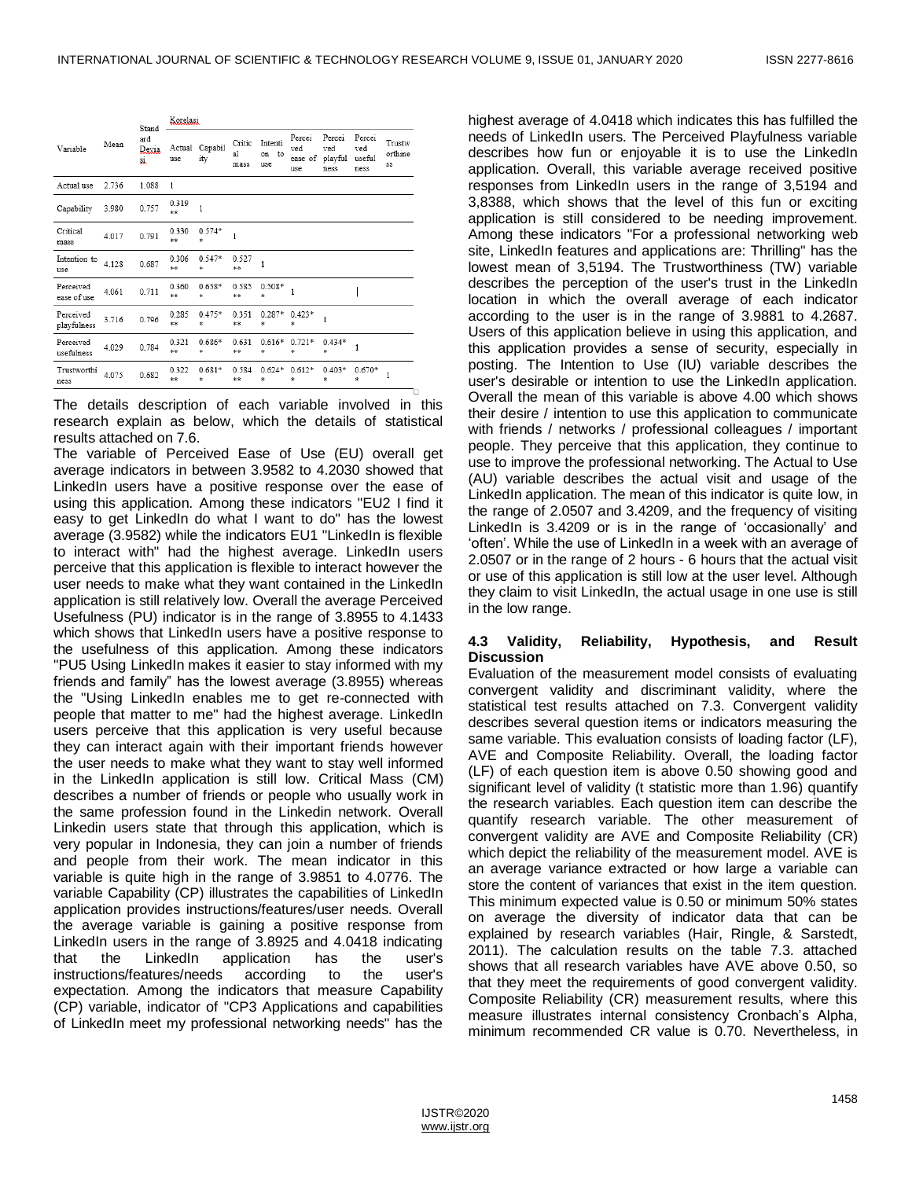| Variable                 | Mean  | Stand<br>ard<br>Devia<br>si | Korelasi      |                 |                      |                            |                                 |                                  |                                 |                         |
|--------------------------|-------|-----------------------------|---------------|-----------------|----------------------|----------------------------|---------------------------------|----------------------------------|---------------------------------|-------------------------|
|                          |       |                             | Actual<br>use | Capabil<br>ity  | Critic<br>a1<br>mass | Intenti<br>to<br>on<br>use | Percei<br>ved<br>ease of<br>use | Percei<br>ved<br>playful<br>ness | Percei<br>ved<br>useful<br>ness | Trustw<br>orthine<br>SS |
| Actual use               | 2.736 | 1.088                       | 1             |                 |                      |                            |                                 |                                  |                                 |                         |
| Capability               | 3.980 | 0.757                       | 0.319<br>$**$ | $\mathbf{1}$    |                      |                            |                                 |                                  |                                 |                         |
| Critical<br>mass         | 4.017 | 0.791                       | 0.330<br>**   | $0.574*$<br>sk. | 1                    |                            |                                 |                                  |                                 |                         |
| Intention to<br>use      | 4.128 | 0.687                       | 0.306<br>**   | 0.547*<br>sk.   | 0.527<br>**          | 1                          |                                 |                                  |                                 |                         |
| Perceived<br>ease of use | 4.061 | 0.711                       | 0.360<br>**   | $0.658*$<br>宋   | 0.585<br>**          | $0.508*$<br>s.             | 1                               |                                  |                                 |                         |
| Perceived<br>playfulness | 3.716 | 0.796                       | 0.285<br>**   | $0.475*$<br>法   | 0.351<br>**          | 0.287*<br>*                | $0.423*$<br>客                   | $\mathbf{1}$                     |                                 |                         |
| Perceived<br>usefulness  | 4.029 | 0.784                       | 0.321<br>**   | $0.686*$<br>*   | 0.631<br>**          | $0.616*$<br>*              | $0.721*$<br>*                   | $0.434*$<br>*                    | 1                               |                         |
| Trustworthi<br>ness      | 4.075 | 0.682                       | 0.322<br>**   | $0.681*$<br>泳   | 0.584<br>**          | $0.624*$<br>*              | $0.612*$<br>sk.                 | $0.403*$<br>*                    | $0.670*$<br>sk.                 | 1                       |

The details description of each variable involved in this research explain as below, which the details of statistical results attached on 7.6.

The variable of Perceived Ease of Use (EU) overall get average indicators in between 3.9582 to 4.2030 showed that LinkedIn users have a positive response over the ease of using this application. Among these indicators "EU2 I find it easy to get LinkedIn do what I want to do" has the lowest average (3.9582) while the indicators EU1 "LinkedIn is flexible to interact with" had the highest average. LinkedIn users perceive that this application is flexible to interact however the user needs to make what they want contained in the LinkedIn application is still relatively low. Overall the average Perceived Usefulness (PU) indicator is in the range of 3.8955 to 4.1433 which shows that LinkedIn users have a positive response to the usefulness of this application. Among these indicators "PU5 Using LinkedIn makes it easier to stay informed with my friends and family" has the lowest average (3.8955) whereas the "Using LinkedIn enables me to get re-connected with people that matter to me" had the highest average. LinkedIn users perceive that this application is very useful because they can interact again with their important friends however the user needs to make what they want to stay well informed in the LinkedIn application is still low. Critical Mass (CM) describes a number of friends or people who usually work in the same profession found in the Linkedin network. Overall Linkedin users state that through this application, which is very popular in Indonesia, they can join a number of friends and people from their work. The mean indicator in this variable is quite high in the range of 3.9851 to 4.0776. The variable Capability (CP) illustrates the capabilities of LinkedIn application provides instructions/features/user needs. Overall the average variable is gaining a positive response from LinkedIn users in the range of 3.8925 and 4.0418 indicating that the LinkedIn application has the user's instructions/features/needs according to the user's expectation. Among the indicators that measure Capability (CP) variable, indicator of "CP3 Applications and capabilities of LinkedIn meet my professional networking needs" has the

highest average of 4.0418 which indicates this has fulfilled the needs of LinkedIn users. The Perceived Playfulness variable describes how fun or enjoyable it is to use the LinkedIn application. Overall, this variable average received positive responses from LinkedIn users in the range of 3,5194 and 3,8388, which shows that the level of this fun or exciting application is still considered to be needing improvement. Among these indicators "For a professional networking web site, LinkedIn features and applications are: Thrilling" has the lowest mean of 3,5194. The Trustworthiness (TW) variable describes the perception of the user's trust in the LinkedIn location in which the overall average of each indicator according to the user is in the range of 3.9881 to 4.2687. Users of this application believe in using this application, and this application provides a sense of security, especially in posting. The Intention to Use (IU) variable describes the user's desirable or intention to use the LinkedIn application. Overall the mean of this variable is above 4.00 which shows their desire / intention to use this application to communicate with friends / networks / professional colleagues / important people. They perceive that this application, they continue to use to improve the professional networking. The Actual to Use (AU) variable describes the actual visit and usage of the LinkedIn application. The mean of this indicator is quite low, in the range of 2.0507 and 3.4209, and the frequency of visiting LinkedIn is 3.4209 or is in the range of 'occasionally' and ‗often'. While the use of LinkedIn in a week with an average of 2.0507 or in the range of 2 hours - 6 hours that the actual visit or use of this application is still low at the user level. Although they claim to visit LinkedIn, the actual usage in one use is still in the low range.

#### **4.3 Validity, Reliability, Hypothesis, and Result Discussion**

Evaluation of the measurement model consists of evaluating convergent validity and discriminant validity, where the statistical test results attached on 7.3. Convergent validity describes several question items or indicators measuring the same variable. This evaluation consists of loading factor (LF), AVE and Composite Reliability. Overall, the loading factor (LF) of each question item is above 0.50 showing good and significant level of validity (t statistic more than 1.96) quantify the research variables. Each question item can describe the quantify research variable. The other measurement of convergent validity are AVE and Composite Reliability (CR) which depict the reliability of the measurement model. AVE is an average variance extracted or how large a variable can store the content of variances that exist in the item question. This minimum expected value is 0.50 or minimum 50% states on average the diversity of indicator data that can be explained by research variables (Hair, Ringle, & Sarstedt, 2011). The calculation results on the table 7.3. attached shows that all research variables have AVE above 0.50, so that they meet the requirements of good convergent validity. Composite Reliability (CR) measurement results, where this measure illustrates internal consistency Cronbach's Alpha, minimum recommended CR value is 0.70. Nevertheless, in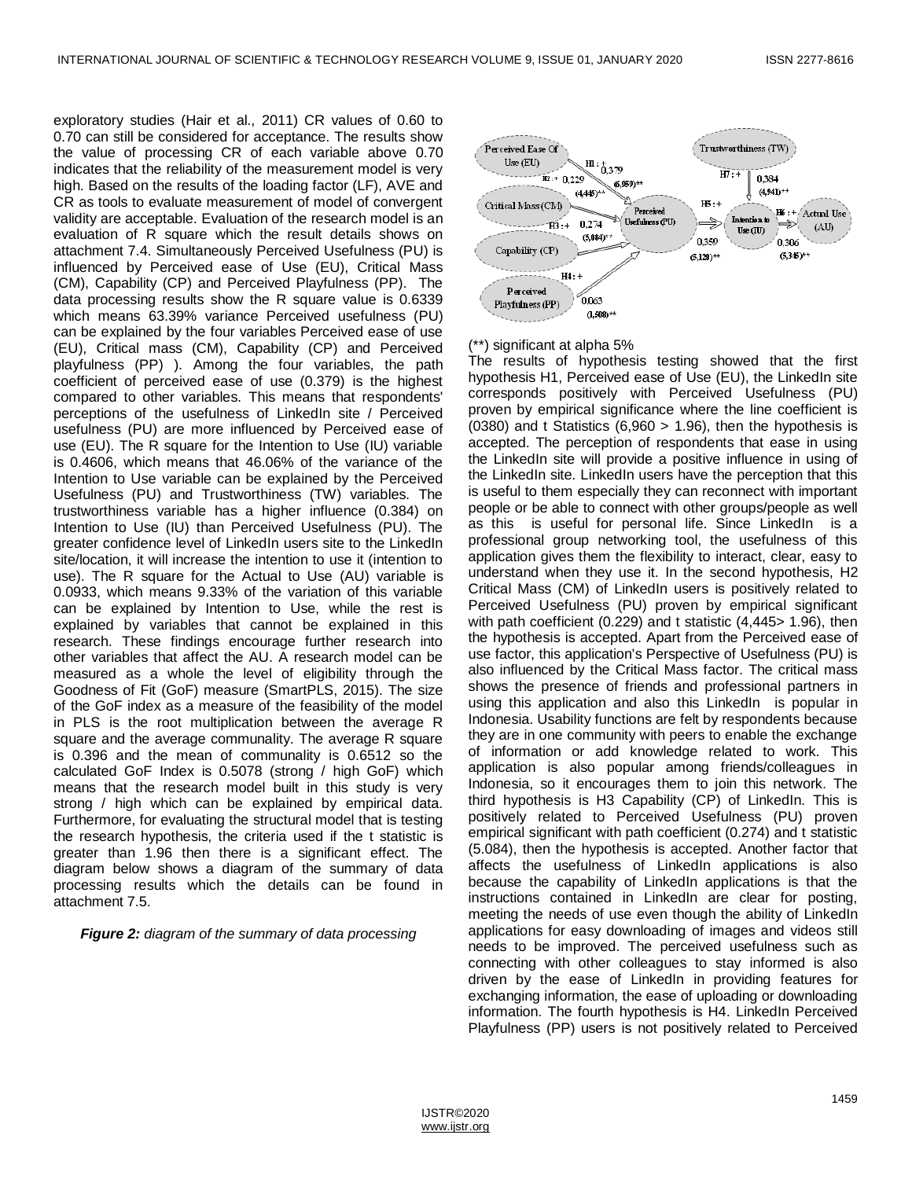exploratory studies (Hair et al., 2011) CR values of 0.60 to 0.70 can still be considered for acceptance. The results show the value of processing CR of each variable above 0.70 indicates that the reliability of the measurement model is very high. Based on the results of the loading factor (LF), AVE and CR as tools to evaluate measurement of model of convergent validity are acceptable. Evaluation of the research model is an evaluation of R square which the result details shows on attachment 7.4. Simultaneously Perceived Usefulness (PU) is influenced by Perceived ease of Use (EU), Critical Mass (CM), Capability (CP) and Perceived Playfulness (PP). The data processing results show the R square value is 0.6339 which means 63.39% variance Perceived usefulness (PU) can be explained by the four variables Perceived ease of use (EU), Critical mass (CM), Capability (CP) and Perceived playfulness (PP) ). Among the four variables, the path coefficient of perceived ease of use (0.379) is the highest compared to other variables. This means that respondents' perceptions of the usefulness of LinkedIn site / Perceived usefulness (PU) are more influenced by Perceived ease of use (EU). The R square for the Intention to Use (IU) variable is 0.4606, which means that 46.06% of the variance of the Intention to Use variable can be explained by the Perceived Usefulness (PU) and Trustworthiness (TW) variables. The trustworthiness variable has a higher influence (0.384) on Intention to Use (IU) than Perceived Usefulness (PU). The greater confidence level of LinkedIn users site to the LinkedIn site/location, it will increase the intention to use it (intention to use). The R square for the Actual to Use (AU) variable is 0.0933, which means 9.33% of the variation of this variable can be explained by Intention to Use, while the rest is explained by variables that cannot be explained in this research. These findings encourage further research into other variables that affect the AU. A research model can be measured as a whole the level of eligibility through the Goodness of Fit (GoF) measure (SmartPLS, 2015). The size of the GoF index as a measure of the feasibility of the model in PLS is the root multiplication between the average R square and the average communality. The average R square is 0.396 and the mean of communality is 0.6512 so the calculated GoF Index is 0.5078 (strong / high GoF) which means that the research model built in this study is very strong / high which can be explained by empirical data. Furthermore, for evaluating the structural model that is testing the research hypothesis, the criteria used if the t statistic is greater than 1.96 then there is a significant effect. The diagram below shows a diagram of the summary of data processing results which the details can be found in attachment 7.5.

*Figure 2: diagram of the summary of data processing*



## (\*\*) significant at alpha 5%

The results of hypothesis testing showed that the first hypothesis H1, Perceived ease of Use (EU), the LinkedIn site corresponds positively with Perceived Usefulness (PU) proven by empirical significance where the line coefficient is (0380) and t Statistics  $(6,960 > 1.96)$ , then the hypothesis is accepted. The perception of respondents that ease in using the LinkedIn site will provide a positive influence in using of the LinkedIn site. LinkedIn users have the perception that this is useful to them especially they can reconnect with important people or be able to connect with other groups/people as well as this is useful for personal life. Since LinkedIn is a professional group networking tool, the usefulness of this application gives them the flexibility to interact, clear, easy to understand when they use it. In the second hypothesis, H2 Critical Mass (CM) of LinkedIn users is positively related to Perceived Usefulness (PU) proven by empirical significant with path coefficient (0.229) and t statistic (4,445> 1.96), then the hypothesis is accepted. Apart from the Perceived ease of use factor, this application's Perspective of Usefulness (PU) is also influenced by the Critical Mass factor. The critical mass shows the presence of friends and professional partners in using this application and also this LinkedIn is popular in Indonesia. Usability functions are felt by respondents because they are in one community with peers to enable the exchange of information or add knowledge related to work. This application is also popular among friends/colleagues in Indonesia, so it encourages them to join this network. The third hypothesis is H3 Capability (CP) of LinkedIn. This is positively related to Perceived Usefulness (PU) proven empirical significant with path coefficient (0.274) and t statistic (5.084), then the hypothesis is accepted. Another factor that affects the usefulness of LinkedIn applications is also because the capability of LinkedIn applications is that the instructions contained in LinkedIn are clear for posting, meeting the needs of use even though the ability of LinkedIn applications for easy downloading of images and videos still needs to be improved. The perceived usefulness such as connecting with other colleagues to stay informed is also driven by the ease of LinkedIn in providing features for exchanging information, the ease of uploading or downloading information. The fourth hypothesis is H4. LinkedIn Perceived Playfulness (PP) users is not positively related to Perceived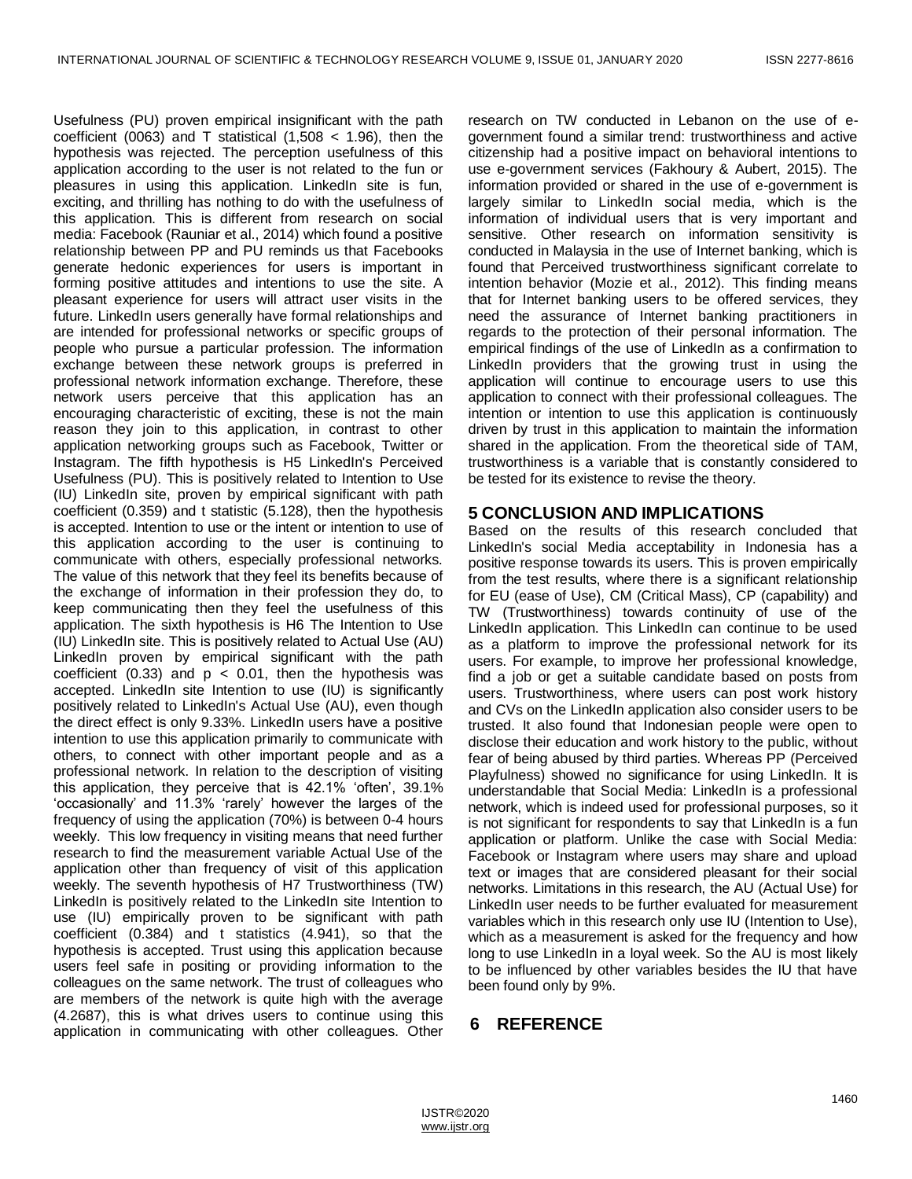Usefulness (PU) proven empirical insignificant with the path coefficient (0063) and T statistical  $(1,508 < 1.96)$ , then the hypothesis was rejected. The perception usefulness of this application according to the user is not related to the fun or pleasures in using this application. LinkedIn site is fun, exciting, and thrilling has nothing to do with the usefulness of this application. This is different from research on social media: Facebook (Rauniar et al., 2014) which found a positive relationship between PP and PU reminds us that Facebooks generate hedonic experiences for users is important in forming positive attitudes and intentions to use the site. A pleasant experience for users will attract user visits in the future. LinkedIn users generally have formal relationships and are intended for professional networks or specific groups of people who pursue a particular profession. The information exchange between these network groups is preferred in professional network information exchange. Therefore, these network users perceive that this application has an encouraging characteristic of exciting, these is not the main reason they join to this application, in contrast to other application networking groups such as Facebook, Twitter or Instagram. The fifth hypothesis is H5 LinkedIn's Perceived Usefulness (PU). This is positively related to Intention to Use (IU) LinkedIn site, proven by empirical significant with path coefficient (0.359) and t statistic (5.128), then the hypothesis is accepted. Intention to use or the intent or intention to use of this application according to the user is continuing to communicate with others, especially professional networks. The value of this network that they feel its benefits because of the exchange of information in their profession they do, to keep communicating then they feel the usefulness of this application. The sixth hypothesis is H6 The Intention to Use (IU) LinkedIn site. This is positively related to Actual Use (AU) LinkedIn proven by empirical significant with the path coefficient (0.33) and  $p < 0.01$ , then the hypothesis was accepted. LinkedIn site Intention to use (IU) is significantly positively related to LinkedIn's Actual Use (AU), even though the direct effect is only 9.33%. LinkedIn users have a positive intention to use this application primarily to communicate with others, to connect with other important people and as a professional network. In relation to the description of visiting this application, they perceive that is 42.1% 'often', 39.1% ‗occasionally' and 11.3% ‗rarely' however the larges of the frequency of using the application (70%) is between 0-4 hours weekly. This low frequency in visiting means that need further research to find the measurement variable Actual Use of the application other than frequency of visit of this application weekly. The seventh hypothesis of H7 Trustworthiness (TW) LinkedIn is positively related to the LinkedIn site Intention to use (IU) empirically proven to be significant with path coefficient (0.384) and t statistics (4.941), so that the hypothesis is accepted. Trust using this application because users feel safe in positing or providing information to the colleagues on the same network. The trust of colleagues who are members of the network is quite high with the average (4.2687), this is what drives users to continue using this application in communicating with other colleagues. Other research on TW conducted in Lebanon on the use of egovernment found a similar trend: trustworthiness and active citizenship had a positive impact on behavioral intentions to use e-government services (Fakhoury & Aubert, 2015). The information provided or shared in the use of e-government is largely similar to LinkedIn social media, which is the information of individual users that is very important and sensitive. Other research on information sensitivity is conducted in Malaysia in the use of Internet banking, which is found that Perceived trustworthiness significant correlate to intention behavior (Mozie et al., 2012). This finding means that for Internet banking users to be offered services, they need the assurance of Internet banking practitioners in regards to the protection of their personal information. The empirical findings of the use of LinkedIn as a confirmation to LinkedIn providers that the growing trust in using the application will continue to encourage users to use this application to connect with their professional colleagues. The intention or intention to use this application is continuously driven by trust in this application to maintain the information shared in the application. From the theoretical side of TAM, trustworthiness is a variable that is constantly considered to be tested for its existence to revise the theory.

## **5 CONCLUSION AND IMPLICATIONS**

Based on the results of this research concluded that LinkedIn's social Media acceptability in Indonesia has a positive response towards its users. This is proven empirically from the test results, where there is a significant relationship for EU (ease of Use), CM (Critical Mass), CP (capability) and TW (Trustworthiness) towards continuity of use of the LinkedIn application. This LinkedIn can continue to be used as a platform to improve the professional network for its users. For example, to improve her professional knowledge, find a job or get a suitable candidate based on posts from users. Trustworthiness, where users can post work history and CVs on the LinkedIn application also consider users to be trusted. It also found that Indonesian people were open to disclose their education and work history to the public, without fear of being abused by third parties. Whereas PP (Perceived Playfulness) showed no significance for using LinkedIn. It is understandable that Social Media: LinkedIn is a professional network, which is indeed used for professional purposes, so it is not significant for respondents to say that LinkedIn is a fun application or platform. Unlike the case with Social Media: Facebook or Instagram where users may share and upload text or images that are considered pleasant for their social networks. Limitations in this research, the AU (Actual Use) for LinkedIn user needs to be further evaluated for measurement variables which in this research only use IU (Intention to Use), which as a measurement is asked for the frequency and how long to use LinkedIn in a loyal week. So the AU is most likely to be influenced by other variables besides the IU that have been found only by 9%.

# **6 REFERENCE**